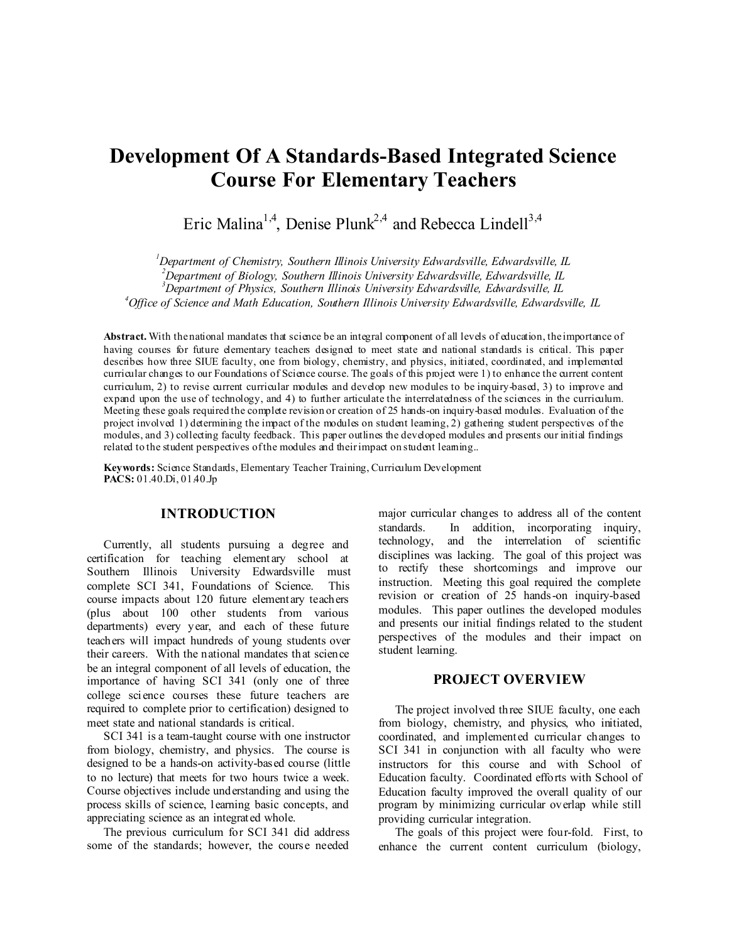# **Development Of A Standards-Based Integrated Science Course For Elementary Teachers**

Eric Malina<sup>1,4</sup>, Denise Plunk<sup>2,4</sup> and Rebecca Lindell<sup>3,4</sup>

 *Department of Chemistry, Southern Illinois University Edwardsville, Edwardsville, IL Department of Biology, Southern Illinois University Edwardsville, Edwardsville, IL Department of Physics, Southern Illinois University Edwardsville, Edwardsville, IL Office of Science and Math Education, Southern Illinois University Edwardsville, Edwardsville, IL*

Abstract. With the national mandates that science be an integral component of all levels of education, the importance of having courses for future elementary teachers designed to meet state and national standards is critical. This paper describes how three SIUE faculty, one from biology, chemistry, and physics, initiated, coordinated, and implemented curricular changes to our Foundations of Science course. The goals of this project were 1) to enhance the current content curriculum, 2) to revise current curricular modules and develop new modules to be inquiry-based, 3) to improve and expand upon the use of technology, and 4) to further articulate the interrelatedness of the sciences in the curriculum. Meeting these goals required the complete revision or creation of 25 hands-on inquiry-based modules. Evaluation of the project involved 1) determining the impact of the modules on student learning, 2) gathering student perspectives of the modules, and 3) collecting faculty feedback. This paper outlines the developed modules and presents our initial findings related to the student perspectives of the modules and their impact on student learning...

**Keywords:** Science Standards, Elementary Teacher Training, Curriculum Development **PACS:** 01.40.Di, 01.40.Jp

## **INTRODUCTION**

Currently, all students pursuing a degree and certification for teaching elementary school at Southern Illinois University Edwardsville must complete SCI 341, Foundations of Science. This course impacts about 120 future elementary teachers (plus about 100 other students from various departments) every year, and each of these future teachers will impact hundreds of young students over their careers. With the national mandates that science be an integral component of all levels of education, the importance of having SCI 341 (only one of three college science courses these future teachers are required to complete prior to certification) designed to meet state and national standards is critical.

SCI 341 is a team-taught course with one instructor from biology, chemistry, and physics. The course is designed to be a hands-on activity-based course (little to no lecture) that meets for two hours twice a week. Course objectives include understanding and using the process skills of science, learning basic concepts, and appreciating science as an integrated whole.

The previous curriculum for SCI 341 did address some of the standards; however, the course needed

major curricular changes to address all of the content standards. In addition, incorporating inquiry, technology, and the interrelation of scientific disciplines was lacking. The goal of this project was to rectify these shortcomings and improve our instruction. Meeting this goal required the complete revision or creation of 25 hands-on inquiry-based modules. This paper outlines the developed modules and presents our initial findings related to the student perspectives of the modules and their impact on student learning.

#### **PROJECT OVERVIEW**

The project involved three SIUE faculty, one each from biology, chemistry, and physics, who initiated, coordinated, and implemented curricular changes to SCI 341 in conjunction with all faculty who were instructors for this course and with School of Education faculty. Coordinated efforts with School of Education faculty improved the overall quality of our program by minimizing curricular overlap while still providing curricular integration.

The goals of this project were four-fold. First, to enhance the current content curriculum (biology,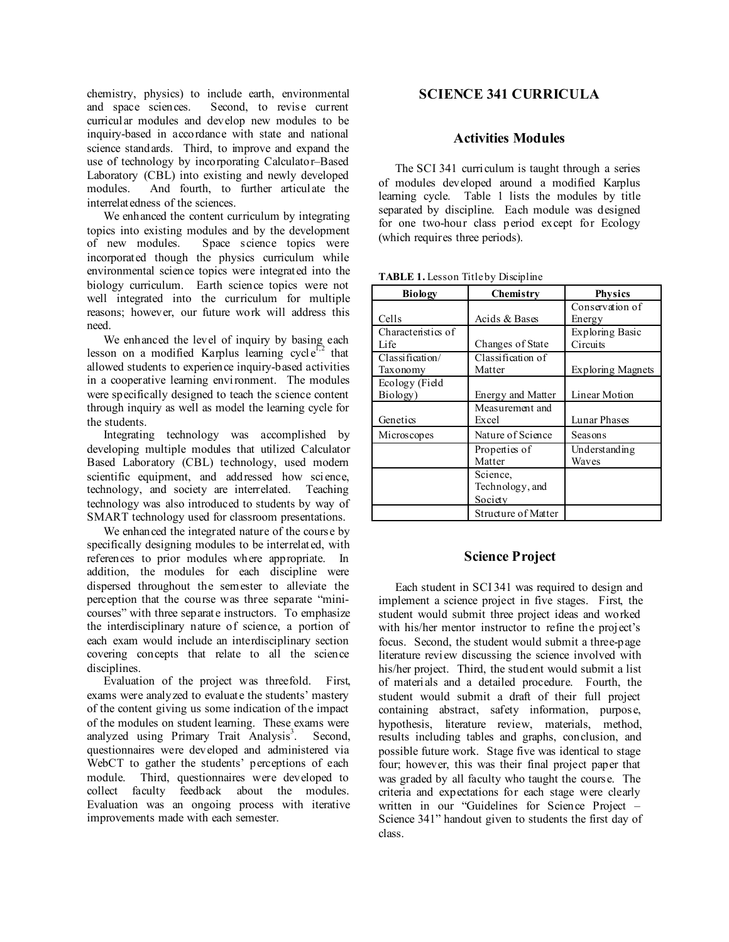chemistry, physics) to include earth, environmental and space sciences. Second, to revise current curricular modules and develop new modules to be inquiry-based in accordance with state and national science standards. Third, to improve and expand the use of technology by incorporating Calculator–Based Laboratory (CBL) into existing and newly developed modules. And fourth, to further articulate the interrelatedness of the sciences.

We enhanced the content curriculum by integrating topics into existing modules and by the development<br>of new modules. Space science topics were Space science topics were incorporated though the physics curriculum while environmental science topics were integrated into the biology curriculum. Earth science topics were not well integrated into the curriculum for multiple reasons; however, our future work will address this need.

We enhanced the level of inquiry by basing each lesson on a modified Karplus learning cycle<sup> $52$ </sup> that allowed students to experience inquiry-based activities in a cooperative learning environment. The modules were specifically designed to teach the science content through inquiry as well as model the learning cycle for the students.

Integrating technology was accomplished by developing multiple modules that utilized Calculator Based Laboratory (CBL) technology, used modern scientific equipment, and addressed how science, technology, and society are interrelated. Teaching technology was also introduced to students by way of SMART technology used for classroom presentations.

We enhanced the integrated nature of the course by specifically designing modules to be interrelated, with references to prior modules where appropriate. In addition, the modules for each discipline were dispersed throughout the semester to alleviate the perception that the course was three separate "minicourses" with three separate instructors. To emphasize the interdisciplinary nature of science, a portion of each exam would include an interdisciplinary section covering concepts that relate to all the science disciplines.

Evaluation of the project was threefold. First, exams were analyzed to evaluate the students' mastery of the content giving us some indication of the impact of the modules on student learning. These exams were analyzed using Primary Trait Analysis<sup>3</sup>. . Second, questionnaires were developed and administered via WebCT to gather the students' perceptions of each module. Third, questionnaires were developed to collect faculty feedback about the modules. Evaluation was an ongoing process with iterative improvements made with each semester.

# **SCIENCE 341 CURRICULA**

### **Activities Modules**

The SCI 341 curriculum is taught through a series of modules developed around a modified Karplus learning cycle. Table 1 lists the modules by title separated by discipline. Each module was designed for one two-hour class period except for Ecology (which requires three periods).

| <b>Biology</b>              | Chemistry                              | <b>Physics</b>              |
|-----------------------------|----------------------------------------|-----------------------------|
| Cells                       | Acids & Bases                          | Conservation of<br>Energy   |
| Characteristics of<br>Life  | Changes of State                       | Exploring Basic<br>Circuits |
| Classification/<br>Taxonomy | Classification of<br>Matter            | <b>Exploring Magnets</b>    |
| Ecology (Field<br>Biology)  | <b>Energy and Matter</b>               | Linear Motion               |
| Genetics                    | Measurement and<br>Excel               | Lunar Phases                |
| Microscopes                 | Nature of Science                      | Seasons                     |
|                             | Properties of<br>Matter                | Understanding<br>Waves      |
|                             | Science,<br>Technology, and<br>Society |                             |
|                             | Structure of Matter                    |                             |

TABLE 1. Lesson Title by Discipline

#### **Science Project**

Each student in SCI 341 was required to design and implement a science project in five stages. First, the student would submit three project ideas and worked with his/her mentor instructor to refine the project's focus. Second, the student would submit a three-page literature review discussing the science involved with his/her project. Third, the student would submit a list of materials and a detailed procedure. Fourth, the student would submit a draft of their full project containing abstract, safety information, purpose, hypothesis, literature review, materials, method, results including tables and graphs, conclusion, and possible future work. Stage five was identical to stage four; however, this was their final project paper that was graded by all faculty who taught the course. The criteria and expectations for each stage were clearly written in our "Guidelines for Science Project – Science 341" handout given to students the first day of class.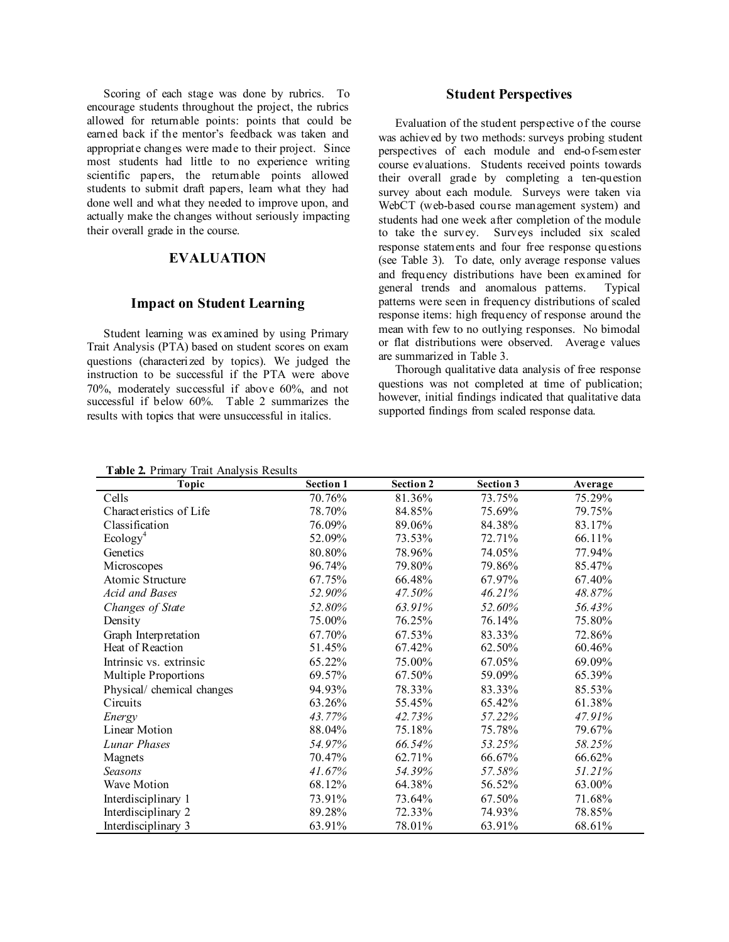Scoring of each stage was done by rubrics. To encourage students throughout the project, the rubrics allowed for returnable points: points that could be earned back if the mentor's feedback was taken and appropriate changes were made to their project. Since most students had little to no experience writing scientific papers, the returnable points allowed students to submit draft papers, learn what they had done well and what they needed to improve upon, and actually make the changes without seriously impacting their overall grade in the course.

## **EVALUATION**

#### **Impact on Student Learning**

Student learning was examined by using Primary Trait Analysis (PTA) based on student scores on exam questions (characterized by topics). We judged the instruction to be successful if the PTA were above 70%, moderately successful if above 60%, and not successful if below 60%. Table 2 summarizes the results with topics that were unsuccessful in italics.

#### **Student Perspectives**

Evaluation of the student perspective of the course was achieved by two methods: surveys probing student perspectives of each module and end-of-semester course evaluations. Students received points towards their overall grade by completing a ten-question survey about each module. Surveys were taken via WebCT (web-based course management system) and students had one week after completion of the module to take the survey. Surveys included six scaled response statements and four free response questions (see Table 3). To date, only average response values and frequency distributions have been examined for general trends and anomalous patterns. Typical patterns were seen in frequency distributions of scaled response items: high frequency of response around the mean with few to no outlying responses. No bimodal or flat distributions were observed. Average values are summarized in Table 3.

Thorough qualitative data analysis of free response questions was not completed at time of publication; however, initial findings indicated that qualitative data supported findings from scaled response data.

**Table 2.** Primary Trait Analysis Results

| 1 MUIL 20 1 IIIIMIY<br>Trait Thiat you recourts<br>Topic | <b>Section 1</b> | <b>Section 2</b> | Section 3 | Average |
|----------------------------------------------------------|------------------|------------------|-----------|---------|
| Cells                                                    | 70.76%           | 81.36%           | 73.75%    | 75.29%  |
| Characteristics of Life                                  | 78.70%           | 84.85%           | 75.69%    | 79.75%  |
| Classification                                           | 76.09%           | 89.06%           | 84.38%    | 83.17%  |
| Ecology <sup>4</sup>                                     | 52.09%           | 73.53%           | 72.71%    | 66.11%  |
| Genetics                                                 | 80.80%           | 78.96%           | 74.05%    | 77.94%  |
| Microscopes                                              | 96.74%           | 79.80%           | 79.86%    | 85.47%  |
| Atomic Structure                                         | 67.75%           | 66.48%           | 67.97%    | 67.40%  |
| Acid and Bases                                           | 52.90%           | 47.50%           | 46.21%    | 48.87%  |
| Changes of State                                         | 52.80%           | 63.91%           | 52.60%    | 56.43%  |
| Density                                                  | 75.00%           | 76.25%           | 76.14%    | 75.80%  |
| Graph Interpretation                                     | 67.70%           | 67.53%           | 83.33%    | 72.86%  |
| Heat of Reaction                                         | 51.45%           | 67.42%           | 62.50%    | 60.46%  |
| Intrinsic vs. extrinsic                                  | 65.22%           | 75.00%           | 67.05%    | 69.09%  |
| <b>Multiple Proportions</b>                              | 69.57%           | 67.50%           | 59.09%    | 65.39%  |
| Physical/ chemical changes                               | 94.93%           | 78.33%           | 83.33%    | 85.53%  |
| Circuits                                                 | 63.26%           | 55.45%           | 65.42%    | 61.38%  |
| Energy                                                   | 43.77%           | 42.73%           | 57.22%    | 47.91%  |
| Linear Motion                                            | 88.04%           | 75.18%           | 75.78%    | 79.67%  |
| Lunar Phases                                             | 54.97%           | 66.54%           | 53.25%    | 58.25%  |
| Magnets                                                  | 70.47%           | 62.71%           | 66.67%    | 66.62%  |
| Seasons                                                  | 41.67%           | 54.39%           | 57.58%    | 51.21%  |
| Wave Motion                                              | 68.12%           | 64.38%           | 56.52%    | 63.00%  |
| Interdisciplinary 1                                      | 73.91%           | 73.64%           | 67.50%    | 71.68%  |
| Interdisciplinary 2                                      | 89.28%           | 72.33%           | 74.93%    | 78.85%  |
| Interdisciplinary 3                                      | 63.91%           | 78.01%           | 63.91%    | 68.61%  |